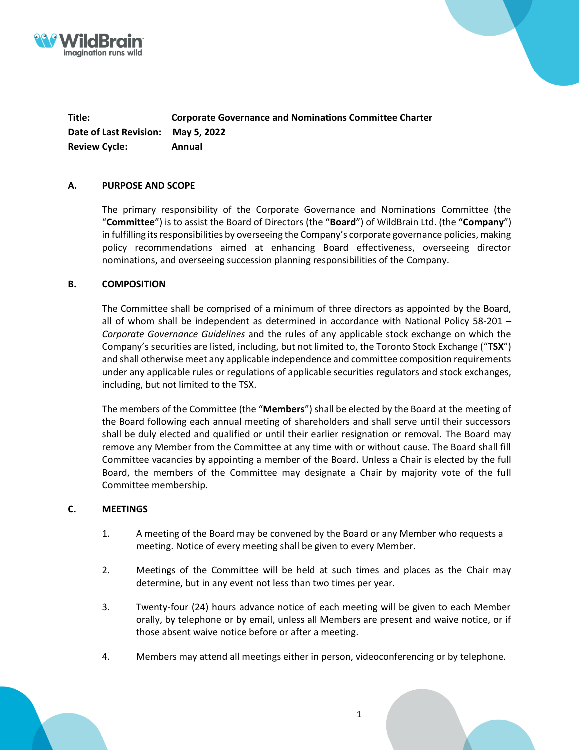



**Title: Corporate Governance and Nominations Committee Charter Date of Last Revision: May 5, 2022 Review Cycle: Annual**

#### **A. PURPOSE AND SCOPE**

The primary responsibility of the Corporate Governance and Nominations Committee (the "**Committee**") is to assist the Board of Directors (the "**Board**") of WildBrain Ltd. (the "**Company**") in fulfilling its responsibilities by overseeing the Company's corporate governance policies, making policy recommendations aimed at enhancing Board effectiveness, overseeing director nominations, and overseeing succession planning responsibilities of the Company.

#### **B. COMPOSITION**

The Committee shall be comprised of a minimum of three directors as appointed by the Board, all of whom shall be independent as determined in accordance with National Policy 58-201 – *Corporate Governance Guidelines* and the rules of any applicable stock exchange on which the Company's securities are listed, including, but not limited to, the Toronto Stock Exchange ("**TSX**") and shall otherwise meet any applicable independence and committee composition requirements under any applicable rules or regulations of applicable securities regulators and stock exchanges, including, but not limited to the TSX.

The members of the Committee (the "**Members**") shall be elected by the Board at the meeting of the Board following each annual meeting of shareholders and shall serve until their successors shall be duly elected and qualified or until their earlier resignation or removal. The Board may remove any Member from the Committee at any time with or without cause. The Board shall fill Committee vacancies by appointing a member of the Board. Unless a Chair is elected by the full Board, the members of the Committee may designate a Chair by majority vote of the full Committee membership.

#### **C. MEETINGS**

- 1. A meeting of the Board may be convened by the Board or any Member who requests a meeting. Notice of every meeting shall be given to every Member.
- 2. Meetings of the Committee will be held at such times and places as the Chair may determine, but in any event not less than two times per year.
- 3. Twenty-four (24) hours advance notice of each meeting will be given to each Member orally, by telephone or by email, unless all Members are present and waive notice, or if those absent waive notice before or after a meeting.
- 4. Members may attend all meetings either in person, videoconferencing or by telephone.

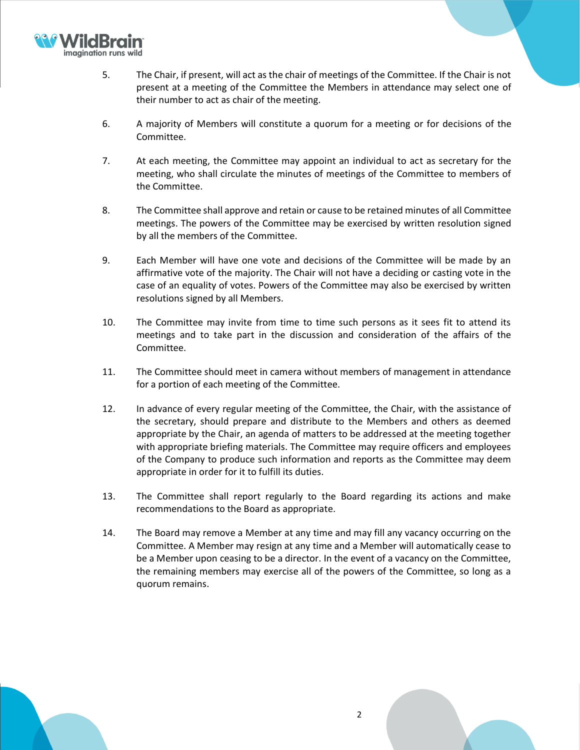

- 5. The Chair, if present, will act as the chair of meetings of the Committee. If the Chair is not present at a meeting of the Committee the Members in attendance may select one of their number to act as chair of the meeting.
- 6. A majority of Members will constitute a quorum for a meeting or for decisions of the Committee.
- 7. At each meeting, the Committee may appoint an individual to act as secretary for the meeting, who shall circulate the minutes of meetings of the Committee to members of the Committee.
- 8. The Committee shall approve and retain or cause to be retained minutes of all Committee meetings. The powers of the Committee may be exercised by written resolution signed by all the members of the Committee.
- 9. Each Member will have one vote and decisions of the Committee will be made by an affirmative vote of the majority. The Chair will not have a deciding or casting vote in the case of an equality of votes. Powers of the Committee may also be exercised by written resolutions signed by all Members.
- 10. The Committee may invite from time to time such persons as it sees fit to attend its meetings and to take part in the discussion and consideration of the affairs of the Committee.
- 11. The Committee should meet in camera without members of management in attendance for a portion of each meeting of the Committee.
- 12. In advance of every regular meeting of the Committee, the Chair, with the assistance of the secretary, should prepare and distribute to the Members and others as deemed appropriate by the Chair, an agenda of matters to be addressed at the meeting together with appropriate briefing materials. The Committee may require officers and employees of the Company to produce such information and reports as the Committee may deem appropriate in order for it to fulfill its duties.
- 13. The Committee shall report regularly to the Board regarding its actions and make recommendations to the Board as appropriate.
- 14. The Board may remove a Member at any time and may fill any vacancy occurring on the Committee. A Member may resign at any time and a Member will automatically cease to be a Member upon ceasing to be a director. In the event of a vacancy on the Committee, the remaining members may exercise all of the powers of the Committee, so long as a quorum remains.

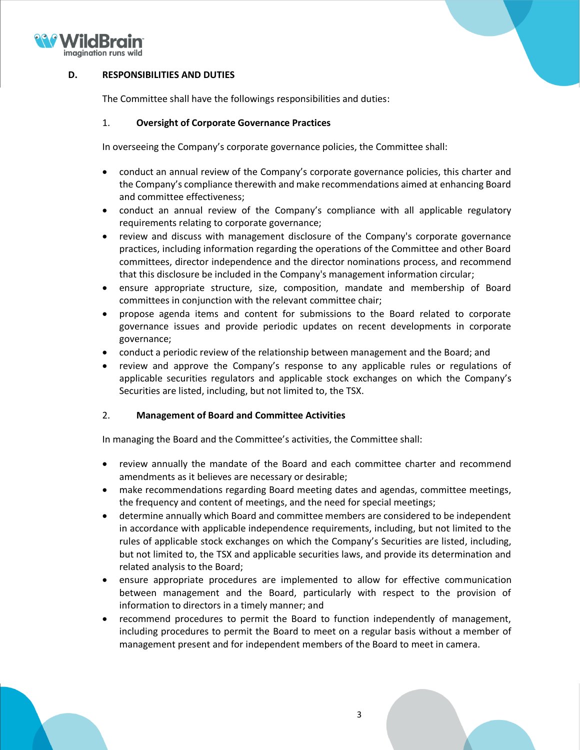

## **D. RESPONSIBILITIES AND DUTIES**

The Committee shall have the followings responsibilities and duties:

#### 1. **Oversight of Corporate Governance Practices**

In overseeing the Company's corporate governance policies, the Committee shall:

- conduct an annual review of the Company's corporate governance policies, this charter and the Company's compliance therewith and make recommendations aimed at enhancing Board and committee effectiveness;
- conduct an annual review of the Company's compliance with all applicable regulatory requirements relating to corporate governance;
- review and discuss with management disclosure of the Company's corporate governance practices, including information regarding the operations of the Committee and other Board committees, director independence and the director nominations process, and recommend that this disclosure be included in the Company's management information circular;
- ensure appropriate structure, size, composition, mandate and membership of Board committees in conjunction with the relevant committee chair;
- propose agenda items and content for submissions to the Board related to corporate governance issues and provide periodic updates on recent developments in corporate governance;
- conduct a periodic review of the relationship between management and the Board; and
- review and approve the Company's response to any applicable rules or regulations of applicable securities regulators and applicable stock exchanges on which the Company's Securities are listed, including, but not limited to, the TSX.

#### 2. **Management of Board and Committee Activities**

In managing the Board and the Committee's activities, the Committee shall:

- review annually the mandate of the Board and each committee charter and recommend amendments as it believes are necessary or desirable;
- make recommendations regarding Board meeting dates and agendas, committee meetings, the frequency and content of meetings, and the need for special meetings;
- determine annually which Board and committee members are considered to be independent in accordance with applicable independence requirements, including, but not limited to the rules of applicable stock exchanges on which the Company's Securities are listed, including, but not limited to, the TSX and applicable securities laws, and provide its determination and related analysis to the Board;
- ensure appropriate procedures are implemented to allow for effective communication between management and the Board, particularly with respect to the provision of information to directors in a timely manner; and
- recommend procedures to permit the Board to function independently of management, including procedures to permit the Board to meet on a regular basis without a member of management present and for independent members of the Board to meet in camera.

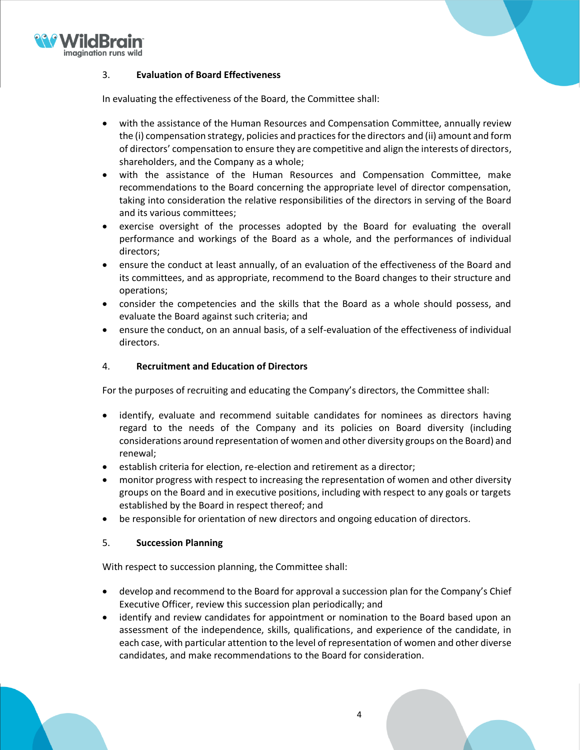

# 3. **Evaluation of Board Effectiveness**

In evaluating the effectiveness of the Board, the Committee shall:

- with the assistance of the Human Resources and Compensation Committee, annually review the (i) compensation strategy, policies and practices for the directors and (ii) amount and form of directors' compensation to ensure they are competitive and align the interests of directors, shareholders, and the Company as a whole;
- with the assistance of the Human Resources and Compensation Committee, make recommendations to the Board concerning the appropriate level of director compensation, taking into consideration the relative responsibilities of the directors in serving of the Board and its various committees;
- exercise oversight of the processes adopted by the Board for evaluating the overall performance and workings of the Board as a whole, and the performances of individual directors;
- ensure the conduct at least annually, of an evaluation of the effectiveness of the Board and its committees, and as appropriate, recommend to the Board changes to their structure and operations;
- consider the competencies and the skills that the Board as a whole should possess, and evaluate the Board against such criteria; and
- ensure the conduct, on an annual basis, of a self-evaluation of the effectiveness of individual directors.

## 4. **Recruitment and Education of Directors**

For the purposes of recruiting and educating the Company's directors, the Committee shall:

- identify, evaluate and recommend suitable candidates for nominees as directors having regard to the needs of the Company and its policies on Board diversity (including considerations around representation of women and other diversity groups on the Board) and renewal;
- establish criteria for election, re-election and retirement as a director;
- monitor progress with respect to increasing the representation of women and other diversity groups on the Board and in executive positions, including with respect to any goals or targets established by the Board in respect thereof; and
- be responsible for orientation of new directors and ongoing education of directors.

## 5. **Succession Planning**

With respect to succession planning, the Committee shall:

- develop and recommend to the Board for approval a succession plan for the Company's Chief Executive Officer, review this succession plan periodically; and
- identify and review candidates for appointment or nomination to the Board based upon an assessment of the independence, skills, qualifications, and experience of the candidate, in each case, with particular attention to the level of representation of women and other diverse candidates, and make recommendations to the Board for consideration.

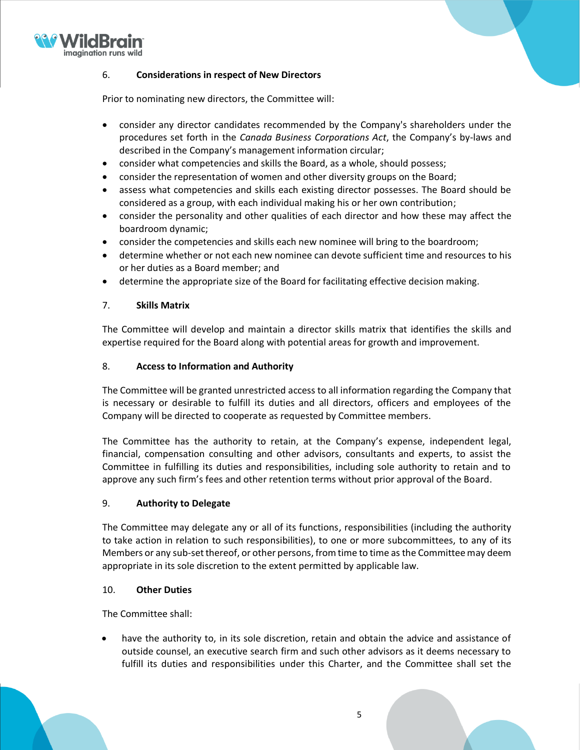

# 6. **Considerations in respect of New Directors**

Prior to nominating new directors, the Committee will:

- consider any director candidates recommended by the Company's shareholders under the procedures set forth in the *Canada Business Corporations Act*, the Company's by-laws and described in the Company's management information circular;
- consider what competencies and skills the Board, as a whole, should possess;
- consider the representation of women and other diversity groups on the Board;
- assess what competencies and skills each existing director possesses. The Board should be considered as a group, with each individual making his or her own contribution;
- consider the personality and other qualities of each director and how these may affect the boardroom dynamic;
- consider the competencies and skills each new nominee will bring to the boardroom;
- determine whether or not each new nominee can devote sufficient time and resources to his or her duties as a Board member; and
- determine the appropriate size of the Board for facilitating effective decision making.

## 7. **Skills Matrix**

The Committee will develop and maintain a director skills matrix that identifies the skills and expertise required for the Board along with potential areas for growth and improvement.

#### 8. **Access to Information and Authority**

The Committee will be granted unrestricted access to all information regarding the Company that is necessary or desirable to fulfill its duties and all directors, officers and employees of the Company will be directed to cooperate as requested by Committee members.

The Committee has the authority to retain, at the Company's expense, independent legal, financial, compensation consulting and other advisors, consultants and experts, to assist the Committee in fulfilling its duties and responsibilities, including sole authority to retain and to approve any such firm's fees and other retention terms without prior approval of the Board.

## 9. **Authority to Delegate**

The Committee may delegate any or all of its functions, responsibilities (including the authority to take action in relation to such responsibilities), to one or more subcommittees, to any of its Members or any sub-set thereof, or other persons, from time to time as the Committee may deem appropriate in its sole discretion to the extent permitted by applicable law.

#### 10. **Other Duties**

The Committee shall:

have the authority to, in its sole discretion, retain and obtain the advice and assistance of outside counsel, an executive search firm and such other advisors as it deems necessary to fulfill its duties and responsibilities under this Charter, and the Committee shall set the